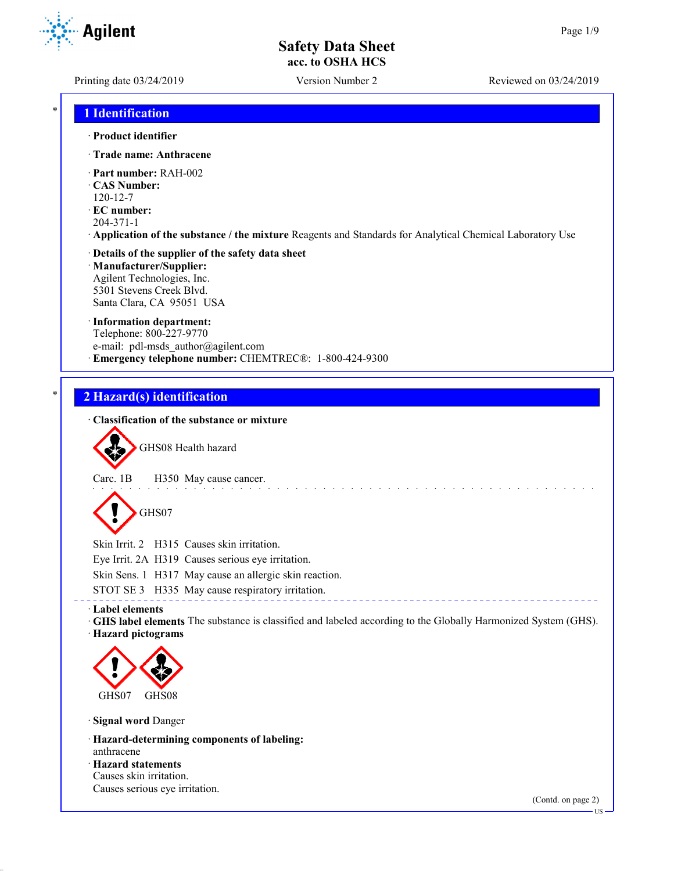**Agilent** 

Printing date 03/24/2019 Version Number 2 Reviewed on 03/24/2019

## \* **1 Identification**

#### · **Product identifier**

- · **Trade name: Anthracene**
- · **Part number:** RAH-002
- · **CAS Number:**
- 120-12-7
- · **EC number:**
- 204-371-1
- · **Application of the substance / the mixture** Reagents and Standards for Analytical Chemical Laboratory Use

#### · **Details of the supplier of the safety data sheet** · **Manufacturer/Supplier:** Agilent Technologies, Inc.

5301 Stevens Creek Blvd. Santa Clara, CA 95051 USA

#### · **Information department:**

Telephone: 800-227-9770 e-mail: pdl-msds author@agilent.com · **Emergency telephone number:** CHEMTREC®: 1-800-424-9300

#### \* **2 Hazard(s) identification**

#### · **Classification of the substance or mixture**



GHS08 Health hazard

Carc. 1B H350 May cause cancer.

# GHS07

Skin Irrit. 2 H315 Causes skin irritation.

Eye Irrit. 2A H319 Causes serious eye irritation.

Skin Sens. 1 H317 May cause an allergic skin reaction.

STOT SE 3 H335 May cause respiratory irritation.

#### · **Label elements**

· **GHS label elements** The substance is classified and labeled according to the Globally Harmonized System (GHS). · **Hazard pictograms**



· **Signal word** Danger

- · **Hazard-determining components of labeling:** anthracene
- · **Hazard statements** Causes skin irritation.

Causes serious eye irritation.

(Contd. on page 2)

US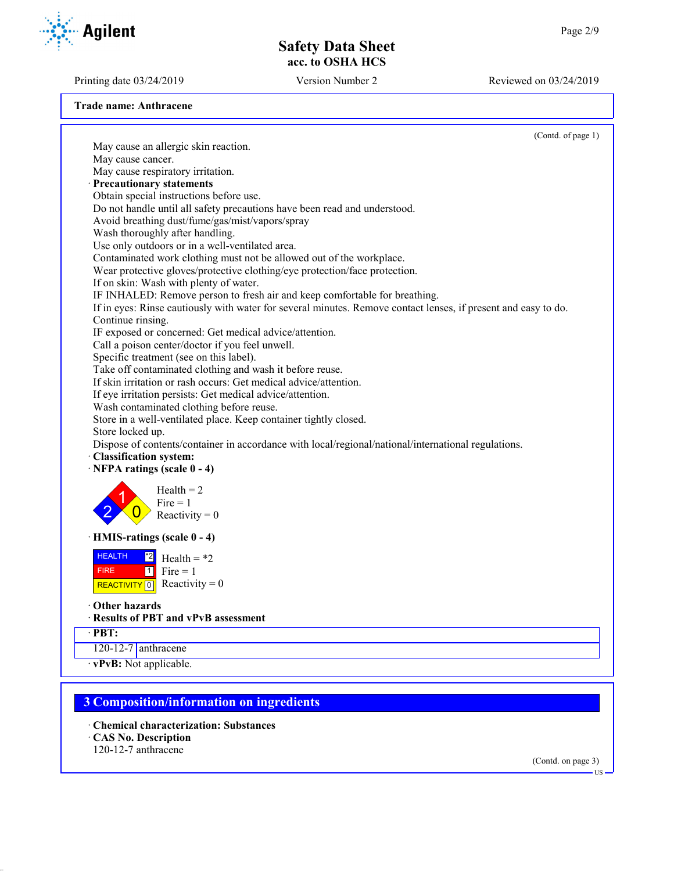Printing date 03/24/2019 Version Number 2 Reviewed on 03/24/2019

**Trade name: Anthracene**

(Contd. of page 1) May cause an allergic skin reaction. May cause cancer. May cause respiratory irritation. · **Precautionary statements** Obtain special instructions before use. Do not handle until all safety precautions have been read and understood. Avoid breathing dust/fume/gas/mist/vapors/spray Wash thoroughly after handling. Use only outdoors or in a well-ventilated area. Contaminated work clothing must not be allowed out of the workplace. Wear protective gloves/protective clothing/eye protection/face protection. If on skin: Wash with plenty of water. IF INHALED: Remove person to fresh air and keep comfortable for breathing. If in eyes: Rinse cautiously with water for several minutes. Remove contact lenses, if present and easy to do. Continue rinsing. IF exposed or concerned: Get medical advice/attention. Call a poison center/doctor if you feel unwell. Specific treatment (see on this label). Take off contaminated clothing and wash it before reuse. If skin irritation or rash occurs: Get medical advice/attention. If eye irritation persists: Get medical advice/attention. Wash contaminated clothing before reuse. Store in a well-ventilated place. Keep container tightly closed. Store locked up. Dispose of contents/container in accordance with local/regional/national/international regulations. · **Classification system:** · **NFPA ratings (scale 0 - 4)** 2 1  $\overline{0}$  $Health = 2$  $Fire = 1$ Reactivity  $= 0$ · **HMIS-ratings (scale 0 - 4) HEALTH**  FIRE REACTIVITY  $\boxed{0}$  Reactivity = 0 \*2  $1$  Fire = 1 Health =  $*2$ · **Other hazards** · **Results of PBT and vPvB assessment** · **PBT:** 120-12-7 anthracene · **vPvB:** Not applicable. **3 Composition/information on ingredients**

### · **Chemical characterization: Substances**

- · **CAS No. Description**
- 120-12-7 anthracene

(Contd. on page 3)



US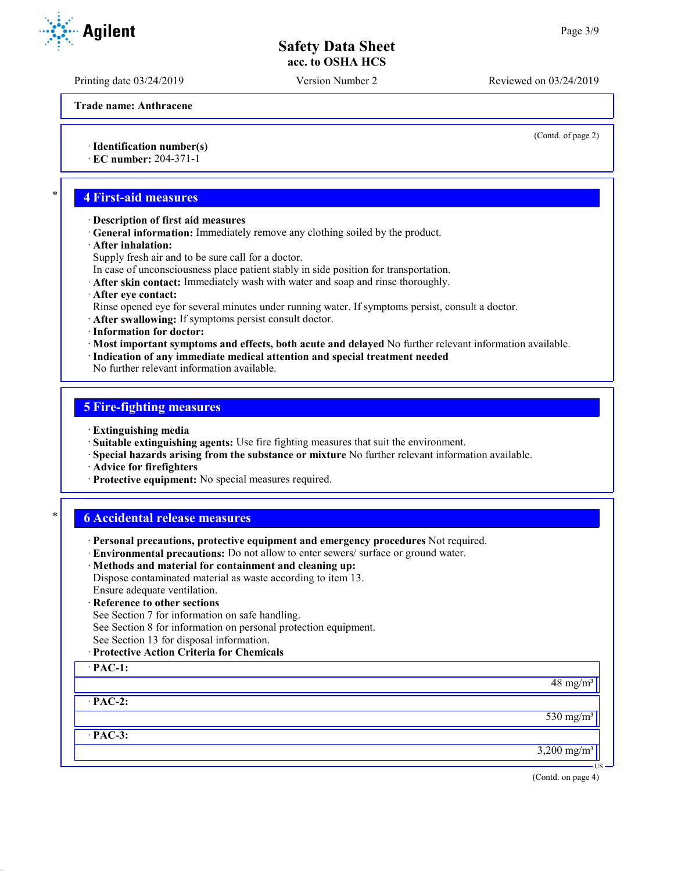Printing date 03/24/2019 Version Number 2 Reviewed on 03/24/2019

**Trade name: Anthracene**

· **Identification number(s)**

· **EC number:** 204-371-1

## \* **4 First-aid measures**

- · **Description of first aid measures**
- · **General information:** Immediately remove any clothing soiled by the product.
- · **After inhalation:**
- Supply fresh air and to be sure call for a doctor.
- In case of unconsciousness place patient stably in side position for transportation.
- · **After skin contact:** Immediately wash with water and soap and rinse thoroughly.
- · **After eye contact:**
- Rinse opened eye for several minutes under running water. If symptoms persist, consult a doctor.
- · **After swallowing:** If symptoms persist consult doctor.
- · **Information for doctor:**
- · **Most important symptoms and effects, both acute and delayed** No further relevant information available.
- · **Indication of any immediate medical attention and special treatment needed**

No further relevant information available.

#### **5 Fire-fighting measures**

- · **Extinguishing media**
- · **Suitable extinguishing agents:** Use fire fighting measures that suit the environment.
- · **Special hazards arising from the substance or mixture** No further relevant information available.
- · **Advice for firefighters**
- · **Protective equipment:** No special measures required.

#### \* **6 Accidental release measures**

- · **Personal precautions, protective equipment and emergency procedures** Not required.
- · **Environmental precautions:** Do not allow to enter sewers/ surface or ground water.
- · **Methods and material for containment and cleaning up:** Dispose contaminated material as waste according to item 13.
- Ensure adequate ventilation.
- · **Reference to other sections**
- See Section 7 for information on safe handling.
- See Section 8 for information on personal protection equipment.
- See Section 13 for disposal information.
- · **Protective Action Criteria for Chemicals**

· **PAC-1:**

· **PAC-2:**

 $530$  mg/m<sup>3</sup>

 $48 \text{ mg/m}^3$ 

· **PAC-3:**

(Contd. on page 4)

3,200 mg/m³

US

**Agilent** 

(Contd. of page 2)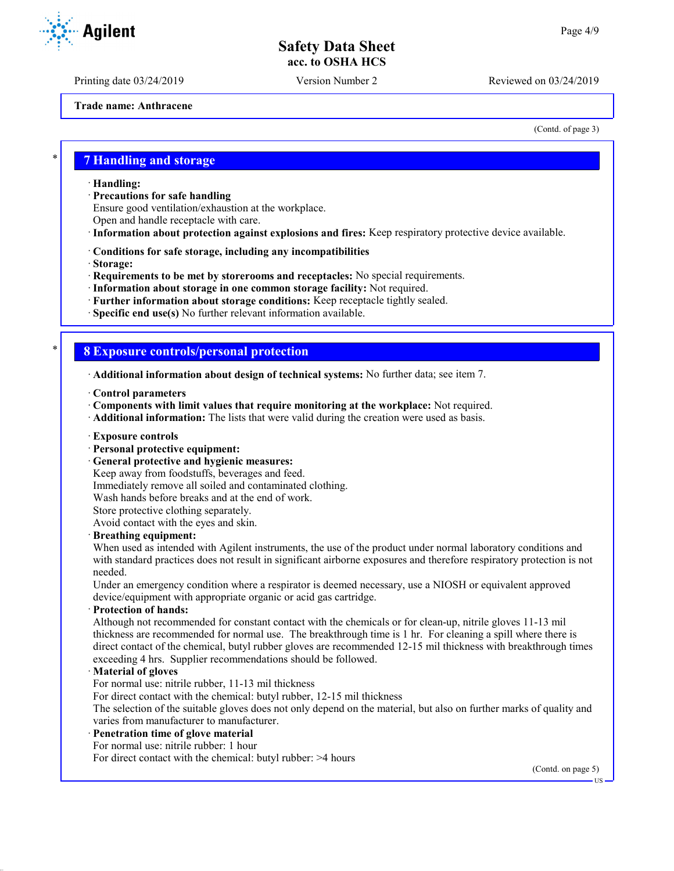Printing date 03/24/2019 Version Number 2 Reviewed on 03/24/2019

(Contd. of page 3)

**Trade name: Anthracene**

\* **7 Handling and storage**

· **Handling:**

· **Precautions for safe handling**

Ensure good ventilation/exhaustion at the workplace.

- Open and handle receptacle with care.
- · **Information about protection against explosions and fires:** Keep respiratory protective device available.
- · **Conditions for safe storage, including any incompatibilities**
- · **Storage:**
- · **Requirements to be met by storerooms and receptacles:** No special requirements.
- · **Information about storage in one common storage facility:** Not required.
- · **Further information about storage conditions:** Keep receptacle tightly sealed.
- · **Specific end use(s)** No further relevant information available.

#### \* **8 Exposure controls/personal protection**

· **Additional information about design of technical systems:** No further data; see item 7.

- · **Control parameters**
- · **Components with limit values that require monitoring at the workplace:** Not required.
- · **Additional information:** The lists that were valid during the creation were used as basis.
- · **Exposure controls**
- · **Personal protective equipment:**
- · **General protective and hygienic measures:**

Keep away from foodstuffs, beverages and feed.

Immediately remove all soiled and contaminated clothing.

Wash hands before breaks and at the end of work.

Store protective clothing separately.

Avoid contact with the eyes and skin.

#### · **Breathing equipment:**

When used as intended with Agilent instruments, the use of the product under normal laboratory conditions and with standard practices does not result in significant airborne exposures and therefore respiratory protection is not needed.

Under an emergency condition where a respirator is deemed necessary, use a NIOSH or equivalent approved device/equipment with appropriate organic or acid gas cartridge.

#### · **Protection of hands:**

Although not recommended for constant contact with the chemicals or for clean-up, nitrile gloves 11-13 mil thickness are recommended for normal use. The breakthrough time is 1 hr. For cleaning a spill where there is direct contact of the chemical, butyl rubber gloves are recommended 12-15 mil thickness with breakthrough times exceeding 4 hrs. Supplier recommendations should be followed.

#### · **Material of gloves**

For normal use: nitrile rubber, 11-13 mil thickness

For direct contact with the chemical: butyl rubber, 12-15 mil thickness

The selection of the suitable gloves does not only depend on the material, but also on further marks of quality and varies from manufacturer to manufacturer.

#### · **Penetration time of glove material**

For normal use: nitrile rubber: 1 hour

For direct contact with the chemical: butyl rubber: >4 hours

(Contd. on page 5)



US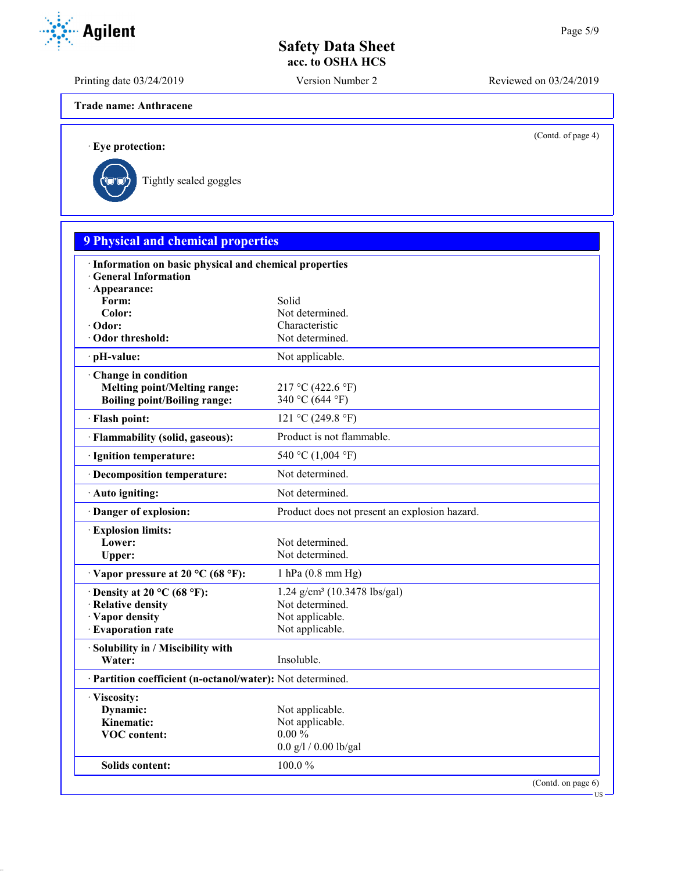Printing date 03/24/2019 Version Number 2 Reviewed on 03/24/2019

**Trade name: Anthracene**

(Contd. of page 4)

· **Eye protection:**



| <b>9 Physical and chemical properties</b>                  |                                               |  |
|------------------------------------------------------------|-----------------------------------------------|--|
| · Information on basic physical and chemical properties    |                                               |  |
| <b>General Information</b>                                 |                                               |  |
| · Appearance:                                              | Solid                                         |  |
| Form:<br>Color:                                            | Not determined.                               |  |
| Odor:                                                      | Characteristic                                |  |
| Odor threshold:                                            | Not determined.                               |  |
| · pH-value:                                                | Not applicable.                               |  |
| Change in condition                                        |                                               |  |
| <b>Melting point/Melting range:</b>                        | 217 °C (422.6 °F)                             |  |
| <b>Boiling point/Boiling range:</b>                        | 340 °C (644 °F)                               |  |
| · Flash point:                                             | 121 °C (249.8 °F)                             |  |
| · Flammability (solid, gaseous):                           | Product is not flammable.                     |  |
| · Ignition temperature:                                    | 540 °C (1,004 °F)                             |  |
| · Decomposition temperature:                               | Not determined.                               |  |
| · Auto igniting:                                           | Not determined.                               |  |
| Danger of explosion:                                       | Product does not present an explosion hazard. |  |
| <b>Explosion limits:</b>                                   |                                               |  |
| Lower:                                                     | Not determined.                               |  |
| Upper:                                                     | Not determined.                               |  |
| $\cdot$ Vapor pressure at 20 °C (68 °F):                   | $1$ hPa $(0.8$ mm Hg)                         |  |
| $\cdot$ Density at 20 °C (68 °F):                          | 1.24 g/cm <sup>3</sup> (10.3478 lbs/gal)      |  |
| · Relative density                                         | Not determined.                               |  |
| · Vapor density                                            | Not applicable.                               |  |
| · Evaporation rate                                         | Not applicable.                               |  |
| · Solubility in / Miscibility with<br>Water:               | Insoluble.                                    |  |
| · Partition coefficient (n-octanol/water): Not determined. |                                               |  |
| · Viscosity:                                               |                                               |  |
| Dynamic:                                                   | Not applicable.                               |  |
| Kinematic:                                                 | Not applicable.                               |  |
| <b>VOC</b> content:                                        | $0.00\%$                                      |  |
|                                                            | $0.0$ g/l / 0.00 lb/gal                       |  |
| Solids content:                                            | 100.0%                                        |  |
|                                                            | (Contd. on page 6)                            |  |

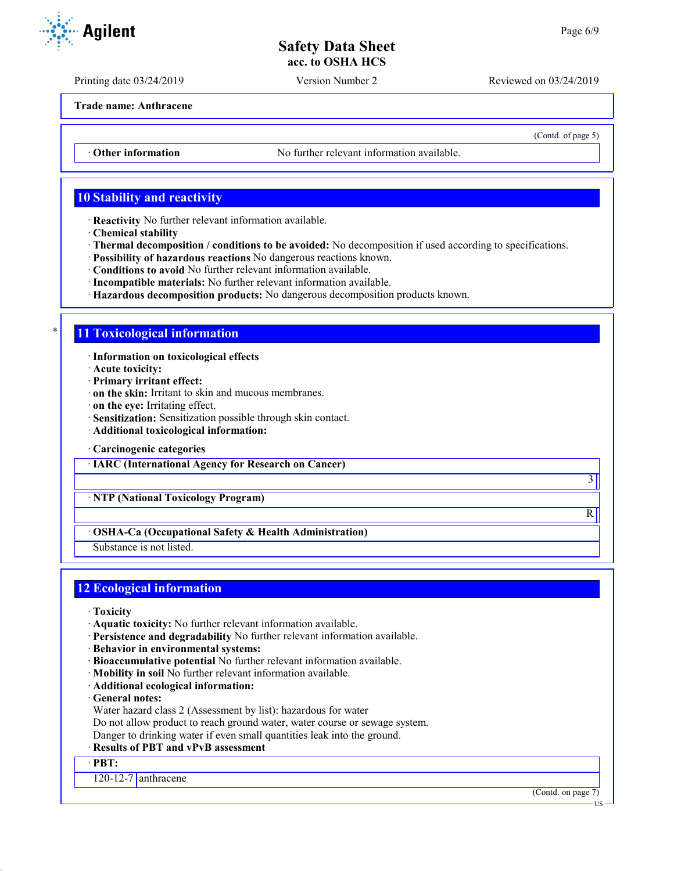Printing date 03/24/2019 Version Number 2 Reviewed on 03/24/2019

**Trade name: Anthracene**

• **Other information** No further relevant information available.

# **10 Stability and reactivity**

· **Reactivity** No further relevant information available.

- · **Chemical stability**
- · **Thermal decomposition / conditions to be avoided:** No decomposition if used according to specifications.
- · **Possibility of hazardous reactions** No dangerous reactions known.
- · **Conditions to avoid** No further relevant information available.
- · **Incompatible materials:** No further relevant information available.
- · **Hazardous decomposition products:** No dangerous decomposition products known.

#### \* **11 Toxicological information**

· **Information on toxicological effects**

- · **Acute toxicity:**
- · **Primary irritant effect:**
- · **on the skin:** Irritant to skin and mucous membranes.
- · **on the eye:** Irritating effect.
- · **Sensitization:** Sensitization possible through skin contact.
- · **Additional toxicological information:**
- · **Carcinogenic categories**

· **IARC (International Agency for Research on Cancer)**

· **NTP (National Toxicology Program)**

#### · **OSHA-Ca (Occupational Safety & Health Administration)**

Substance is not listed.

# **12 Ecological information**

- · **Toxicity**
- · **Aquatic toxicity:** No further relevant information available.
- · **Persistence and degradability** No further relevant information available.
- · **Behavior in environmental systems:**
- · **Bioaccumulative potential** No further relevant information available.
- · **Mobility in soil** No further relevant information available.
- · **Additional ecological information:**
- · **General notes:**
- Water hazard class 2 (Assessment by list): hazardous for water
- Do not allow product to reach ground water, water course or sewage system.
- Danger to drinking water if even small quantities leak into the ground.

### · **Results of PBT and vPvB assessment**

· **PBT:**

 $120-12-7$  anthracene

(Contd. on page 7)

**TIC** 

**Agilent** 

3

R

(Contd. of page 5)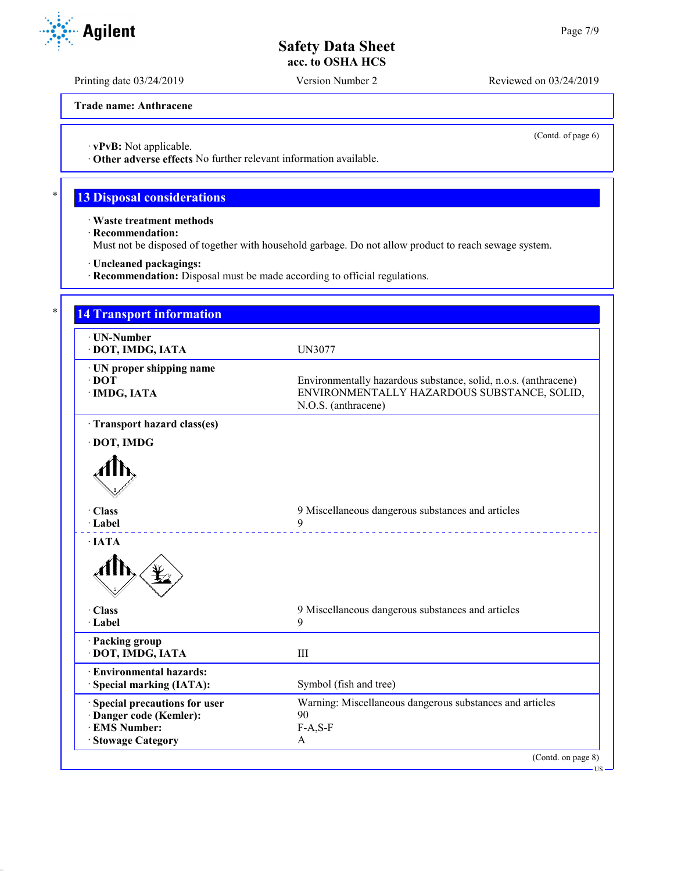Printing date 03/24/2019 Version Number 2 Reviewed on 03/24/2019

**Trade name: Anthracene**

(Contd. of page 6)

US

· **vPvB:** Not applicable.

· **Other adverse effects** No further relevant information available.

# **13 Disposal considerations**

· **Waste treatment methods**

· **Recommendation:**

Must not be disposed of together with household garbage. Do not allow product to reach sewage system.

· **Uncleaned packagings:**

· **Recommendation:** Disposal must be made according to official regulations.

| · UN-Number                    |                                                                 |
|--------------------------------|-----------------------------------------------------------------|
| · DOT, IMDG, IATA              | <b>UN3077</b>                                                   |
| · UN proper shipping name      |                                                                 |
| $\cdot$ DOT                    | Environmentally hazardous substance, solid, n.o.s. (anthracene) |
| · IMDG, IATA                   | ENVIRONMENTALLY HAZARDOUS SUBSTANCE, SOLID,                     |
|                                | N.O.S. (anthracene)                                             |
| · Transport hazard class(es)   |                                                                 |
| · DOT, IMDG                    |                                                                 |
|                                |                                                                 |
|                                |                                                                 |
|                                |                                                                 |
|                                |                                                                 |
| · Class                        | 9 Miscellaneous dangerous substances and articles               |
| · Label                        | 9                                                               |
| $\cdot$ IATA                   |                                                                 |
|                                |                                                                 |
| · Class                        | 9 Miscellaneous dangerous substances and articles               |
| · Label                        | 9                                                               |
| · Packing group                |                                                                 |
| · DOT, IMDG, IATA              | III                                                             |
| · Environmental hazards:       |                                                                 |
| · Special marking (IATA):      | Symbol (fish and tree)                                          |
| · Special precautions for user | Warning: Miscellaneous dangerous substances and articles        |
| · Danger code (Kemler):        | 90                                                              |
| <b>EMS Number:</b>             | $F-A, S-F$                                                      |

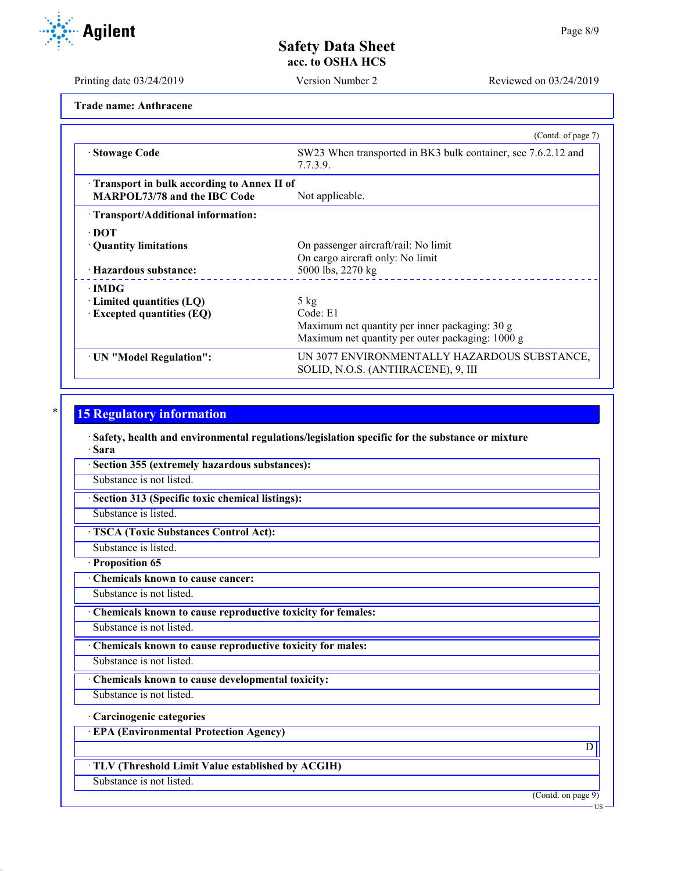**Agilent** 

Printing date 03/24/2019 Version Number 2 Reviewed on 03/24/2019

**Trade name: Anthracene**

|                                                                                     | (Contd. of page 7)                                                                                                               |
|-------------------------------------------------------------------------------------|----------------------------------------------------------------------------------------------------------------------------------|
| · Stowage Code                                                                      | SW23 When transported in BK3 bulk container, see 7.6.2.12 and<br>7.7.3.9.                                                        |
| Transport in bulk according to Annex II of<br><b>MARPOL73/78 and the IBC Code</b>   | Not applicable.                                                                                                                  |
| · Transport/Additional information:                                                 |                                                                                                                                  |
| $\cdot$ DOT<br>• Quantity limitations<br>· Hazardous substance:                     | On passenger aircraft/rail: No limit<br>On cargo aircraft only: No limit<br>5000 lbs, 2270 kg                                    |
| $\cdot$ IMDG<br>$\cdot$ Limited quantities (LQ)<br>$\cdot$ Excepted quantities (EQ) | $5 \text{ kg}$<br>Code: E1<br>Maximum net quantity per inner packaging: 30 g<br>Maximum net quantity per outer packaging: 1000 g |
| · UN "Model Regulation":                                                            | UN 3077 ENVIRONMENTALLY HAZARDOUS SUBSTANCE,<br>SOLID, N.O.S. (ANTHRACENE), 9, III                                               |

# **15 Regulatory information**

· **Safety, health and environmental regulations/legislation specific for the substance or mixture** · **Sara**

· **Section 355 (extremely hazardous substances):**

Substance is not listed.

· **Section 313 (Specific toxic chemical listings):**

Substance is listed.

· **TSCA (Toxic Substances Control Act):**

Substance is listed.

· **Proposition 65**

· **Chemicals known to cause cancer:**

Substance is not listed.

· **Chemicals known to cause reproductive toxicity for females:**

Substance is not listed.

· **Chemicals known to cause reproductive toxicity for males:**

Substance is not listed.

· **Chemicals known to cause developmental toxicity:**

Substance is not listed.

· **Carcinogenic categories**

· **EPA (Environmental Protection Agency)**

· **TLV (Threshold Limit Value established by ACGIH)**

Substance is not listed.

(Contd. on page 9)

 $\overline{D}$ 

US